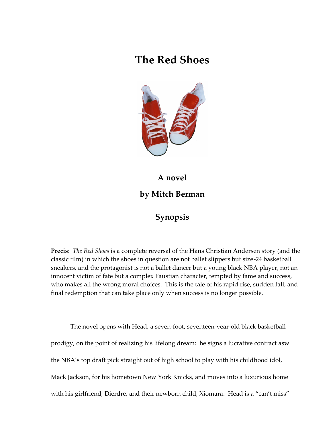## **The Red Shoes**



# **A novel by Mitch Berman**

#### **Synopsis**

**Precis**: *The Red Shoes* is a complete reversal of the Hans Christian Andersen story (and the classic film) in which the shoes in question are not ballet slippers but size-24 basketball sneakers, and the protagonist is not a ballet dancer but a young black NBA player, not an innocent victim of fate but a complex Faustian character, tempted by fame and success, who makes all the wrong moral choices. This is the tale of his rapid rise, sudden fall, and final redemption that can take place only when success is no longer possible.

The novel opens with Head, a seven-foot, seventeen-year-old black basketball prodigy, on the point of realizing his lifelong dream: he signs a lucrative contract asw the NBA's top draft pick straight out of high school to play with his childhood idol, Mack Jackson, for his hometown New York Knicks, and moves into a luxurious home with his girlfriend, Dierdre, and their newborn child, Xiomara. Head is a "can't miss"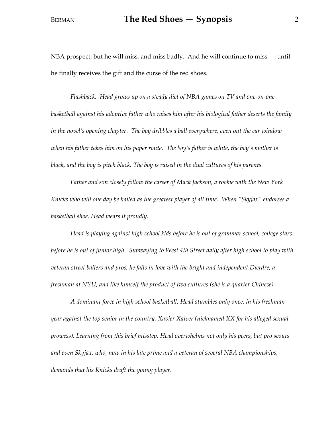NBA prospect; but he will miss, and miss badly. And he will continue to miss — until he finally receives the gift and the curse of the red shoes.

*Flashback: Head grows up on a steady diet of NBA games on TV and one-on-one basketball against his adoptive father who raises him after his biological father deserts the family in the novel's opening chapter. The boy dribbles a ball everywhere, even out the car window when his father takes him on his paper route. The boy's father is white, the boy's mother is black, and the boy is pitch black. The boy is raised in the dual cultures of his parents.*

*Father and son closely follow the career of Mack Jackson, a rookie with the New York Knicks who will one day be hailed as the greatest player of all time. When "Skyjax" endorses a basketball shoe, Head wears it proudly.*

*Head is playing against high school kids before he is out of grammar school, college stars before he is out of junior high. Subwaying to West 4th Street daily after high school to play with veteran street ballers and pros, he falls in love with the bright and independent Dierdre, a freshman at NYU, and like himself the product of two cultures (she is a quarter Chinese).*

*A dominant force in high school basketball, Head stumbles only once, in his freshman year against the top senior in the country, Xavier Xaiver (nicknamed XX for his alleged sexual prowess). Learning from this brief misstep, Head overwhelms not only his peers, but pro scouts and even Skyjax, who, now in his late prime and a veteran of several NBA championships, demands that his Knicks draft the young player.*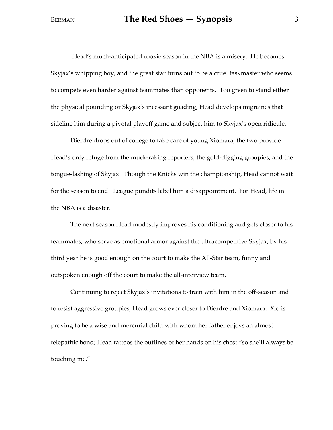Head's much-anticipated rookie season in the NBA is a misery. He becomes Skyjax's whipping boy, and the great star turns out to be a cruel taskmaster who seems to compete even harder against teammates than opponents. Too green to stand either the physical pounding or Skyjax's incessant goading, Head develops migraines that sideline him during a pivotal playoff game and subject him to Skyjax's open ridicule.

Dierdre drops out of college to take care of young Xiomara; the two provide Head's only refuge from the muck-raking reporters, the gold-digging groupies, and the tongue-lashing of Skyjax. Though the Knicks win the championship, Head cannot wait for the season to end. League pundits label him a disappointment. For Head, life in the NBA is a disaster.

The next season Head modestly improves his conditioning and gets closer to his teammates, who serve as emotional armor against the ultracompetitive Skyjax; by his third year he is good enough on the court to make the All-Star team, funny and outspoken enough off the court to make the all-interview team.

Continuing to reject Skyjax's invitations to train with him in the off-season and to resist aggressive groupies, Head grows ever closer to Dierdre and Xiomara. Xio is proving to be a wise and mercurial child with whom her father enjoys an almost telepathic bond; Head tattoos the outlines of her hands on his chest "so she'll always be touching me."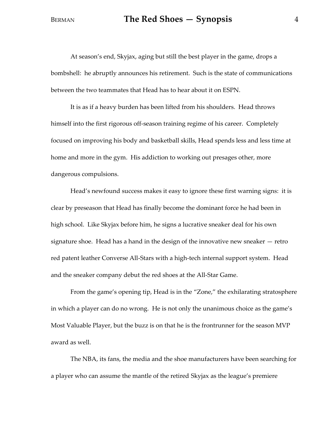At season's end, Skyjax, aging but still the best player in the game, drops a bombshell: he abruptly announces his retirement. Such is the state of communications between the two teammates that Head has to hear about it on ESPN.

It is as if a heavy burden has been lifted from his shoulders. Head throws himself into the first rigorous off-season training regime of his career. Completely focused on improving his body and basketball skills, Head spends less and less time at home and more in the gym. His addiction to working out presages other, more dangerous compulsions.

Head's newfound success makes it easy to ignore these first warning signs: it is clear by preseason that Head has finally become the dominant force he had been in high school. Like Skyjax before him, he signs a lucrative sneaker deal for his own signature shoe. Head has a hand in the design of the innovative new sneaker — retro red patent leather Converse All-Stars with a high-tech internal support system. Head and the sneaker company debut the red shoes at the All-Star Game.

From the game's opening tip, Head is in the "Zone," the exhilarating stratosphere in which a player can do no wrong. He is not only the unanimous choice as the game's Most Valuable Player, but the buzz is on that he is the frontrunner for the season MVP award as well.

The NBA, its fans, the media and the shoe manufacturers have been searching for a player who can assume the mantle of the retired Skyjax as the league's premiere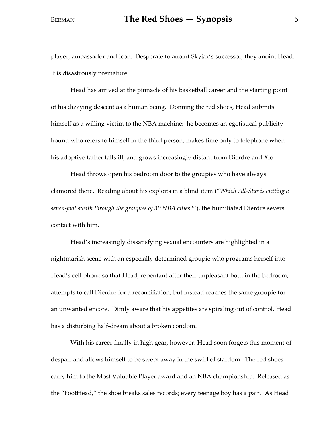player, ambassador and icon. Desperate to anoint Skyjax's successor, they anoint Head. It is disastrously premature.

Head has arrived at the pinnacle of his basketball career and the starting point of his dizzying descent as a human being. Donning the red shoes, Head submits himself as a willing victim to the NBA machine: he becomes an egotistical publicity hound who refers to himself in the third person, makes time only to telephone when his adoptive father falls ill, and grows increasingly distant from Dierdre and Xio.

Head throws open his bedroom door to the groupies who have always clamored there. Reading about his exploits in a blind item ("*Which All-Star is cutting a seven-foot swath through the groupies of 30 NBA cities?*"), the humiliated Dierdre severs contact with him.

Head's increasingly dissatisfying sexual encounters are highlighted in a nightmarish scene with an especially determined groupie who programs herself into Head's cell phone so that Head, repentant after their unpleasant bout in the bedroom, attempts to call Dierdre for a reconciliation, but instead reaches the same groupie for an unwanted encore. Dimly aware that his appetites are spiraling out of control, Head has a disturbing half-dream about a broken condom.

With his career finally in high gear, however, Head soon forgets this moment of despair and allows himself to be swept away in the swirl of stardom. The red shoes carry him to the Most Valuable Player award and an NBA championship. Released as the "FootHead," the shoe breaks sales records; every teenage boy has a pair. As Head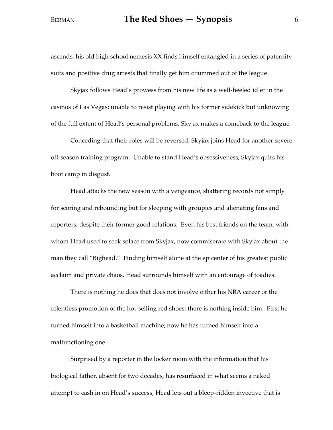### BERMAN **The Red Shoes – Synopsis** 6

ascends, his old high school nemesis XX finds himself entangled in a series of paternity suits and positive drug arrests that finally get him drummed out of the league.

Skyjax follows Head's prowess from his new life as a well-heeled idler in the casinos of Las Vegas; unable to resist playing with his former sidekick but unknowing of the full extent of Head's personal problems, Skyjax makes a comeback to the league.

Conceding that their roles will be reversed, Skyjax joins Head for another severe off-season training program. Unable to stand Head's obsessiveness, Skyjax quits his boot camp in disgust.

Head attacks the new season with a vengeance, shattering records not simply for scoring and rebounding but for sleeping with groupies and alienating fans and reporters, despite their former good relations. Even his best friends on the team, with whom Head used to seek solace from Skyjax, now commiserate with Skyjax about the man they call "Bighead." Finding himself alone at the epicenter of his greatest public acclaim and private chaos, Head surrounds himself with an entourage of toadies.

There is nothing he does that does not involve either his NBA career or the relentless promotion of the hot-selling red shoes; there is nothing inside him. First he turned himself into a basketball machine; now he has turned himself into a malfunctioning one.

Surprised by a reporter in the locker room with the information that his biological father, absent for two decades, has resurfaced in what seems a naked attempt to cash in on Head's success, Head lets out a bleep-ridden invective that is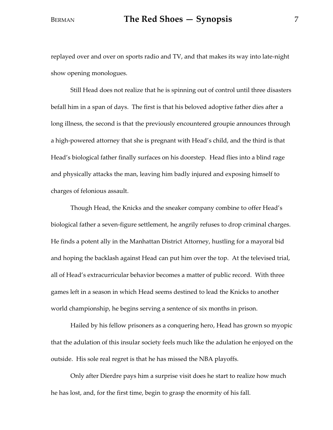replayed over and over on sports radio and TV, and that makes its way into late-night show opening monologues.

Still Head does not realize that he is spinning out of control until three disasters befall him in a span of days. The first is that his beloved adoptive father dies after a long illness, the second is that the previously encountered groupie announces through a high-powered attorney that she is pregnant with Head's child, and the third is that Head's biological father finally surfaces on his doorstep. Head flies into a blind rage and physically attacks the man, leaving him badly injured and exposing himself to charges of felonious assault.

Though Head, the Knicks and the sneaker company combine to offer Head's biological father a seven-figure settlement, he angrily refuses to drop criminal charges. He finds a potent ally in the Manhattan District Attorney, hustling for a mayoral bid and hoping the backlash against Head can put him over the top. At the televised trial, all of Head's extracurricular behavior becomes a matter of public record. With three games left in a season in which Head seems destined to lead the Knicks to another world championship, he begins serving a sentence of six months in prison.

Hailed by his fellow prisoners as a conquering hero, Head has grown so myopic that the adulation of this insular society feels much like the adulation he enjoyed on the outside. His sole real regret is that he has missed the NBA playoffs.

Only after Dierdre pays him a surprise visit does he start to realize how much he has lost, and, for the first time, begin to grasp the enormity of his fall.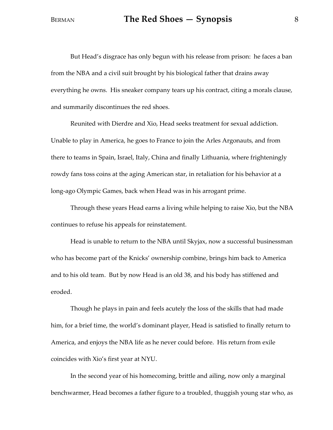But Head's disgrace has only begun with his release from prison: he faces a ban from the NBA and a civil suit brought by his biological father that drains away everything he owns. His sneaker company tears up his contract, citing a morals clause, and summarily discontinues the red shoes.

Reunited with Dierdre and Xio, Head seeks treatment for sexual addiction. Unable to play in America, he goes to France to join the Arles Argonauts, and from there to teams in Spain, Israel, Italy, China and finally Lithuania, where frighteningly rowdy fans toss coins at the aging American star, in retaliation for his behavior at a long-ago Olympic Games, back when Head was in his arrogant prime.

Through these years Head earns a living while helping to raise Xio, but the NBA continues to refuse his appeals for reinstatement.

Head is unable to return to the NBA until Skyjax, now a successful businessman who has become part of the Knicks' ownership combine, brings him back to America and to his old team. But by now Head is an old 38, and his body has stiffened and eroded.

Though he plays in pain and feels acutely the loss of the skills that had made him, for a brief time, the world's dominant player, Head is satisfied to finally return to America, and enjoys the NBA life as he never could before. His return from exile coincides with Xio's first year at NYU.

In the second year of his homecoming, brittle and ailing, now only a marginal benchwarmer, Head becomes a father figure to a troubled, thuggish young star who, as